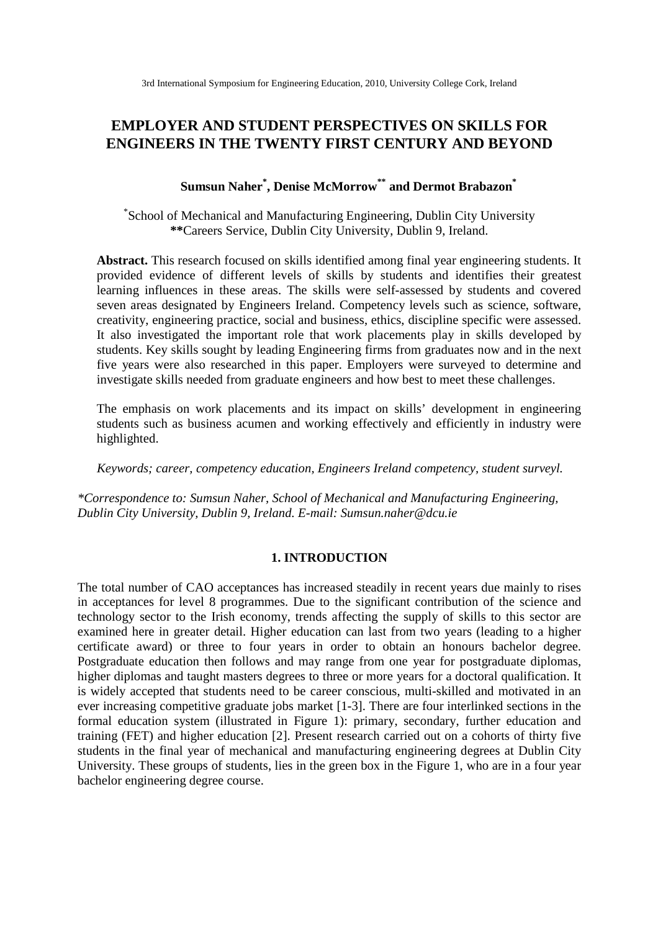# **EMPLOYER AND STUDENT PERSPECTIVES ON SKILLS FOR ENGINEERS IN THE TWENTY FIRST CENTURY AND BEYOND**

# **Sumsun Naher\* , Denise McMorrow\*\* and Dermot Brabazon\***

\* School of Mechanical and Manufacturing Engineering, Dublin City University **\*\***Careers Service, Dublin City University, Dublin 9, Ireland.

**Abstract.** This research focused on skills identified among final year engineering students. It provided evidence of different levels of skills by students and identifies their greatest learning influences in these areas. The skills were self-assessed by students and covered seven areas designated by Engineers Ireland. Competency levels such as science, software, creativity, engineering practice, social and business, ethics, discipline specific were assessed. It also investigated the important role that work placements play in skills developed by students. Key skills sought by leading Engineering firms from graduates now and in the next five years were also researched in this paper. Employers were surveyed to determine and investigate skills needed from graduate engineers and how best to meet these challenges.

The emphasis on work placements and its impact on skills' development in engineering students such as business acumen and working effectively and efficiently in industry were highlighted.

*Keywords; career, competency education, Engineers Ireland competency, student surveyl.* 

*\*Correspondence to: Sumsun Naher, School of Mechanical and Manufacturing Engineering, Dublin City University, Dublin 9, Ireland. E-mail: Sumsun.naher@dcu.ie* 

#### **1. INTRODUCTION**

The total number of CAO acceptances has increased steadily in recent years due mainly to rises in acceptances for level 8 programmes. Due to the significant contribution of the science and technology sector to the Irish economy, trends affecting the supply of skills to this sector are examined here in greater detail. Higher education can last from two years (leading to a higher certificate award) or three to four years in order to obtain an honours bachelor degree. Postgraduate education then follows and may range from one year for postgraduate diplomas, higher diplomas and taught masters degrees to three or more years for a doctoral qualification. It is widely accepted that students need to be career conscious, multi-skilled and motivated in an ever increasing competitive graduate jobs market [1-3]. There are four interlinked sections in the formal education system (illustrated in Figure 1): primary, secondary, further education and training (FET) and higher education [2]. Present research carried out on a cohorts of thirty five students in the final year of mechanical and manufacturing engineering degrees at Dublin City University. These groups of students, lies in the green box in the Figure 1, who are in a four year bachelor engineering degree course.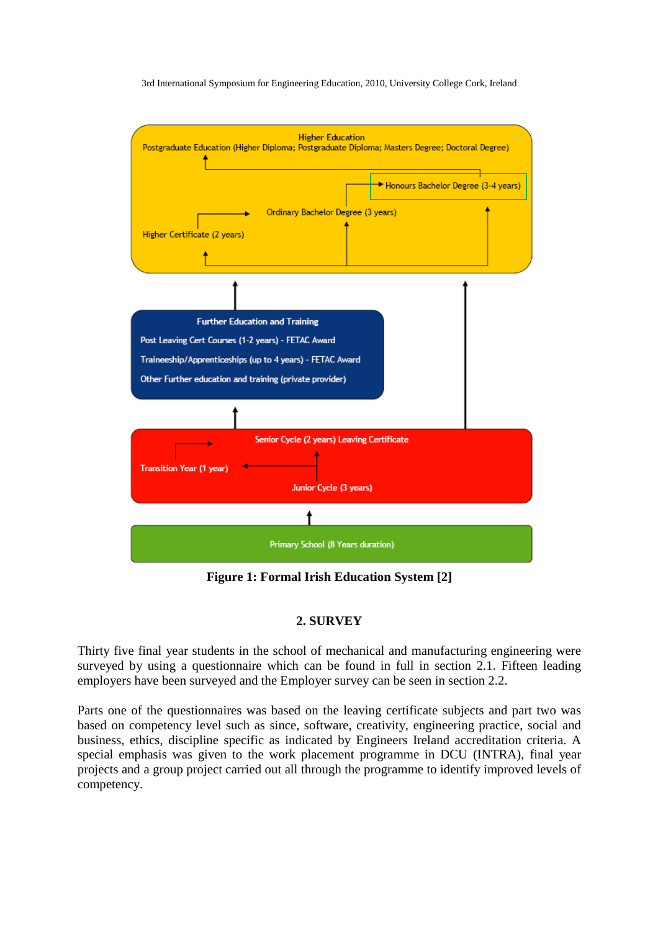

**Figure 1: Formal Irish Education System [2]** 

# **2. SURVEY**

Thirty five final year students in the school of mechanical and manufacturing engineering were surveyed by using a questionnaire which can be found in full in section 2.1. Fifteen leading employers have been surveyed and the Employer survey can be seen in section 2.2.

Parts one of the questionnaires was based on the leaving certificate subjects and part two was based on competency level such as since, software, creativity, engineering practice, social and business, ethics, discipline specific as indicated by Engineers Ireland accreditation criteria. A special emphasis was given to the work placement programme in DCU (INTRA), final year projects and a group project carried out all through the programme to identify improved levels of competency.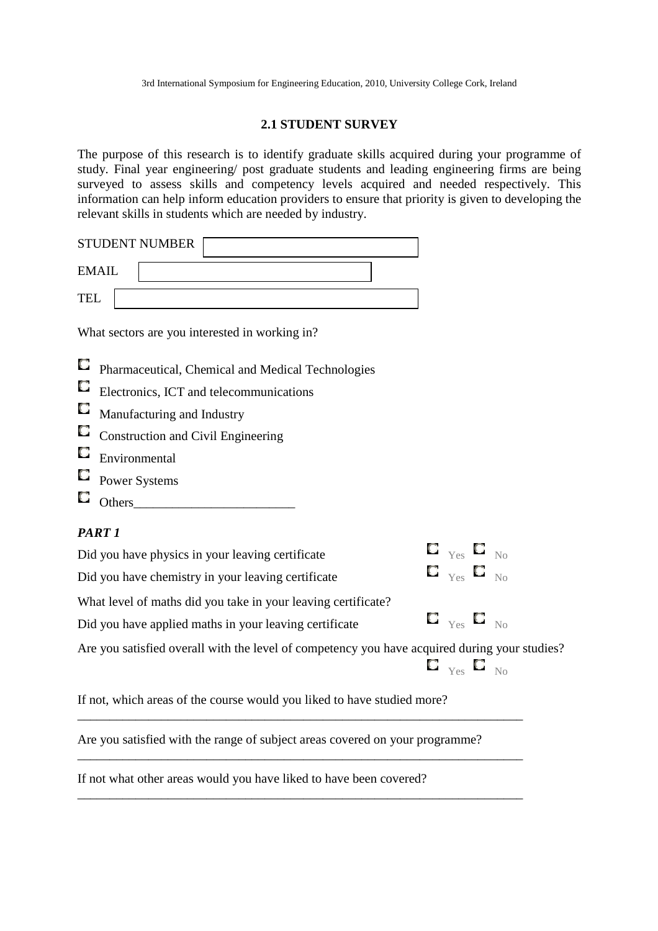### **2.1 STUDENT SURVEY**

The purpose of this research is to identify graduate skills acquired during your programme of study. Final year engineering/ post graduate students and leading engineering firms are being surveyed to assess skills and competency levels acquired and needed respectively. This information can help inform education providers to ensure that priority is given to developing the relevant skills in students which are needed by industry.

|            | <b>STUDENT NUMBER</b>                                                                         |  |                                                                  |  |  |
|------------|-----------------------------------------------------------------------------------------------|--|------------------------------------------------------------------|--|--|
|            | <b>EMAIL</b>                                                                                  |  |                                                                  |  |  |
| <b>TEL</b> |                                                                                               |  |                                                                  |  |  |
|            | What sectors are you interested in working in?                                                |  |                                                                  |  |  |
| O          | Pharmaceutical, Chemical and Medical Technologies                                             |  |                                                                  |  |  |
| O          | Electronics, ICT and telecommunications                                                       |  |                                                                  |  |  |
| O          | Manufacturing and Industry                                                                    |  |                                                                  |  |  |
| O          | <b>Construction and Civil Engineering</b>                                                     |  |                                                                  |  |  |
| O          | Environmental                                                                                 |  |                                                                  |  |  |
| ш          | <b>Power Systems</b>                                                                          |  |                                                                  |  |  |
| U          | Others                                                                                        |  |                                                                  |  |  |
|            | PART <sub>1</sub>                                                                             |  |                                                                  |  |  |
|            | Did you have physics in your leaving certificate                                              |  | $\Box$ $_{\text{Yes}}$ $\Box$ $_{\text{No}}$                     |  |  |
|            | Did you have chemistry in your leaving certificate                                            |  | $\mathbf{C}$ $_{\mathrm{Yes}}$ $\mathbf{C}$ $_{\mathrm{No}}$     |  |  |
|            | What level of maths did you take in your leaving certificate?                                 |  |                                                                  |  |  |
|            | Did you have applied maths in your leaving certificate                                        |  | $\blacksquare$ $_{\mathsf{Yes}}$ $\blacksquare$ $_{\mathsf{No}}$ |  |  |
|            | Are you satisfied overall with the level of competency you have acquired during your studies? |  |                                                                  |  |  |
|            |                                                                                               |  | $\blacksquare$ $_{\mathsf{Yes}}$ $\blacksquare$ $_{\mathsf{No}}$ |  |  |

If not, which areas of the course would you liked to have studied more?

Are you satisfied with the range of subject areas covered on your programme?

\_\_\_\_\_\_\_\_\_\_\_\_\_\_\_\_\_\_\_\_\_\_\_\_\_\_\_\_\_\_\_\_\_\_\_\_\_\_\_\_\_\_\_\_\_\_\_\_\_\_\_\_\_\_\_\_\_\_\_\_\_\_\_\_\_\_\_\_\_

\_\_\_\_\_\_\_\_\_\_\_\_\_\_\_\_\_\_\_\_\_\_\_\_\_\_\_\_\_\_\_\_\_\_\_\_\_\_\_\_\_\_\_\_\_\_\_\_\_\_\_\_\_\_\_\_\_\_\_\_\_\_\_\_\_\_\_\_\_

\_\_\_\_\_\_\_\_\_\_\_\_\_\_\_\_\_\_\_\_\_\_\_\_\_\_\_\_\_\_\_\_\_\_\_\_\_\_\_\_\_\_\_\_\_\_\_\_\_\_\_\_\_\_\_\_\_\_\_\_\_\_\_\_\_\_\_\_\_

If not what other areas would you have liked to have been covered?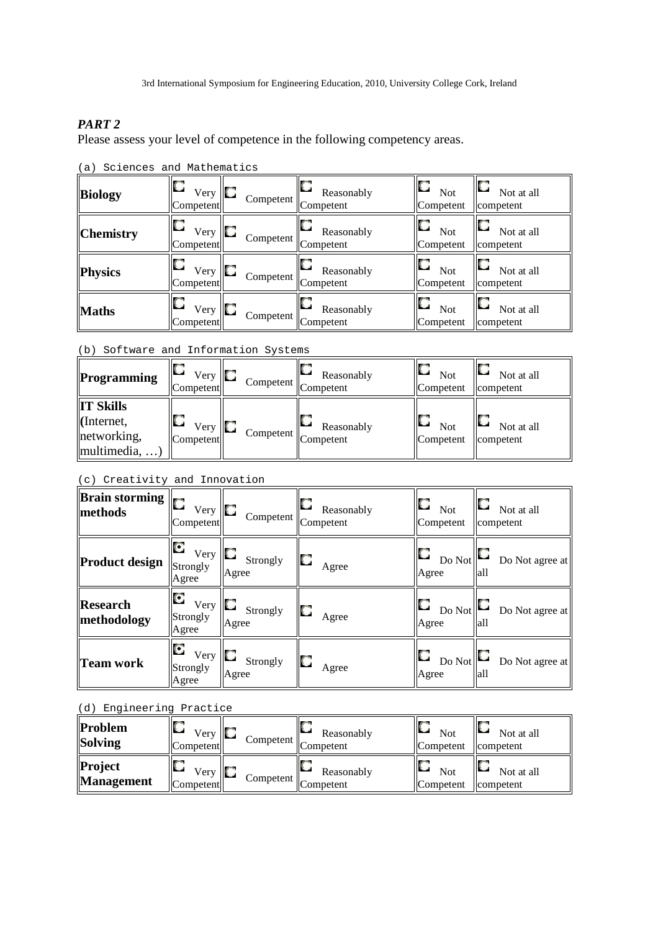# *PART 2*

Please assess your level of competence in the following competency areas.

| Biology          | ш<br>Very $\ \Box$<br>Competent | Competent | Reasonably<br>Competent | O<br><b>Not</b><br>Competent | Not at all<br>competent |
|------------------|---------------------------------|-----------|-------------------------|------------------------------|-------------------------|
| <b>Chemistry</b> | U<br>Very<br>Competent          | Competent | Reasonably<br>Competent | O<br><b>Not</b><br>Competent | Not at all<br>competent |
| <b>Physics</b>   | U<br>$V$ ery<br>Competent       | Competent | Reasonably<br>Competent | O<br><b>Not</b><br>Competent | Not at all<br>competent |
| <b>Maths</b>     | O<br>Very<br>Competent          | Competent | Reasonably<br>Competent | O<br><b>Not</b><br>Competent | Not at all<br>competent |

(a) Sciences and Mathematics

#### (b) Software and Information Systems

| Programming                                                          | Very<br>Competent | Competent   Competent | Reasonably | <b>Not</b><br>Competent | Not at all<br>competent |
|----------------------------------------------------------------------|-------------------|-----------------------|------------|-------------------------|-------------------------|
| <b>IT Skills</b><br>(Internet,<br>networking,<br>$\vert$ multimedia, | Very<br>Competent | Competent   Competent | Reasonably | <b>Not</b><br>Competent | Not at all<br>competent |

### (c) Creativity and Innovation

| $\sqrt{\text{Brain} \text{storming}}$<br>  methods | Very $\Box$<br>Competent          | Competent                | Reasonably<br>Competent | U<br><b>Not</b><br>Competent | Not at all<br>competent  |
|----------------------------------------------------|-----------------------------------|--------------------------|-------------------------|------------------------------|--------------------------|
| Product design                                     | о<br>Very<br>Strongly<br>Agree    | IO.<br>Strongly<br>Agree | Agree                   | Do Not<br>Agree              | Do Not agree at<br>  all |
| Research<br>methodology                            | O<br>$V$ ery<br>Strongly<br>Agree | Strongly<br>Agree        | Agree                   | u<br>Do Not<br>Agree         | Do Not agree at<br>lall  |
| Team work                                          | С<br>Very<br>Strongly<br>Agree    | IO<br>Strongly<br>Agree  | Agree                   | Do Not<br>Agree              | Do Not agree at<br>all   |

## (d) Engineering Practice

| Problem<br>Solving           | Very<br><b>Competent</b> | IO<br>Competent   Competent | Reasonably | ID<br><b>Not</b><br>Competent        | ID.<br>Not at all<br><b>I</b> competent |
|------------------------------|--------------------------|-----------------------------|------------|--------------------------------------|-----------------------------------------|
| Project<br><b>Management</b> | Very<br><b>Competent</b> | Competent   Competent       | Reasonably | IO<br><b>Not</b><br><b>Competent</b> | ID.<br>Not at all<br>competent          |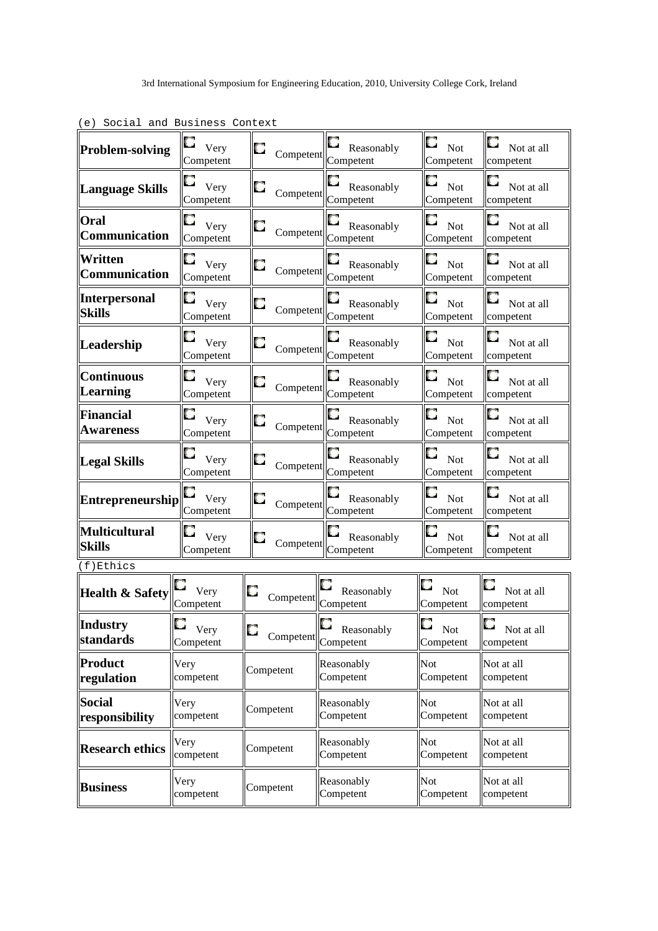| Problem-solving                 | $\Box$ Very<br>Competent               | $\Box$                                                                                            | $\Box$ Reasonably<br>Competent Competent | $\Gamma_{\rm~Not}$<br>Competent   | $\Box$ Not at all<br>competent                 |
|---------------------------------|----------------------------------------|---------------------------------------------------------------------------------------------------|------------------------------------------|-----------------------------------|------------------------------------------------|
| Language Skills                 | $\Box$ Very<br>Competent               | Competent Competent                                                                               | $\Box$ Reasonably                        | $\blacksquare$ Not<br>Competent   | $\Box$ Not at all<br>competent                 |
| Oral<br>Communication           | $\Box$ Very<br>Competent               | Competent Competent                                                                               | $\Box$ Reasonably                        | $\blacksquare$ Not<br>Competent   | $\Box$ Not at all<br>competent                 |
| Written<br><b>Communication</b> | $\Box$ Very<br>Competent               | Competent Competent                                                                               | $\Box$ Reasonably                        | $\Box$ Not<br>Competent           | $\Box$ Not at all<br>competent                 |
| Interpersonal<br><b>Skills</b>  | $\Box$ Very<br>Competent               | Competent Competent                                                                               | $\Box$ Reasonably                        | $\Box$ Not<br>Competent           | O<br>Not at all<br>competent                   |
| Leadership                      | $\Box$ Very<br>Competent               | $\Box$ Competent                                                                                  | $\Box$ Reasonably<br>Competent           | $\Box$ Not<br>Competent           | $\Box$ Not at all<br>competent                 |
| <b>Continuous</b><br>Learning   | $\Gamma$ Very<br>Competent             | $\Box$ Competent $\parallel$ Competent                                                            | Reasonably                               | O<br>Not<br>Competent             | $\Box$ Not at all<br>competent                 |
| Financial<br><b>Awareness</b>   | $\Box$ Very<br>Competent               | $\Box$ Competent $\parallel$ Competent                                                            | $\mathbf{C}$<br>Reasonably               | 0<br>Not<br>Competent             | u<br>Not at all<br>competent                   |
| Legal Skills                    | $\Box$ Very<br>Competent               | $\begin{array}{ c c }\n\hline\n\end{array}$ Competent $\begin{array}{ c c }\n\hline\n\end{array}$ | $\Box$ Reasonably                        | 0<br>Not<br>Competent             | u<br>Not at all<br>competent                   |
| <b>Entrepreneurship</b>         | $\Box$ Very<br>Competent               | Competent Competent                                                                               | $\Box$ Reasonably                        | $\Box$<br>Not<br>Competent        | Not at all<br>competent                        |
| Multicultural<br><b>Skills</b>  | $\Box$ Very<br>Competent               | Competent Competent                                                                               | $\Box$ Reasonably                        | $\Box$ Not<br>Competent           | U<br>Not at all<br>competent                   |
| (f)Ethics                       |                                        |                                                                                                   |                                          |                                   |                                                |
| <b>Health &amp; Safety</b>      | $\mathbf{v}_{\text{ery}}$<br>Competent | $\left\  \mathbf{C} \right\ _{\text{Competent}}$                                                  | $\Box$ Reasonably                        | 0<br>Not<br>Competent             | Not at all<br>competent                        |
| Industry<br><i>standards</i>    | O<br>Very<br>Competent                 | $\Box$<br>Competent                                                                               | $\Box$<br>Reasonably<br>Competent        | $\Box$<br><b>Not</b><br>Competent | <b>Provide</b><br>м<br>Not at all<br>competent |
| Product<br>regulation           | Very<br>competent                      | Competent                                                                                         | Reasonably<br>Competent                  | Not<br>Competent                  | Not at all<br>competent                        |
| Social<br>responsibility        | Very<br>competent                      | Competent                                                                                         | Reasonably<br>Competent                  | Not<br>Competent                  | Not at all<br>competent                        |
| <b>Research ethics</b>          | Very<br>competent                      | Competent                                                                                         | Reasonably<br>Competent                  | Not<br>Competent                  | Not at all<br>competent                        |
| <b>Business</b>                 | Very<br>competent                      | Competent                                                                                         | Reasonably<br>Competent                  | Not<br>Competent                  | Not at all<br>competent                        |

(e) Social and Business Context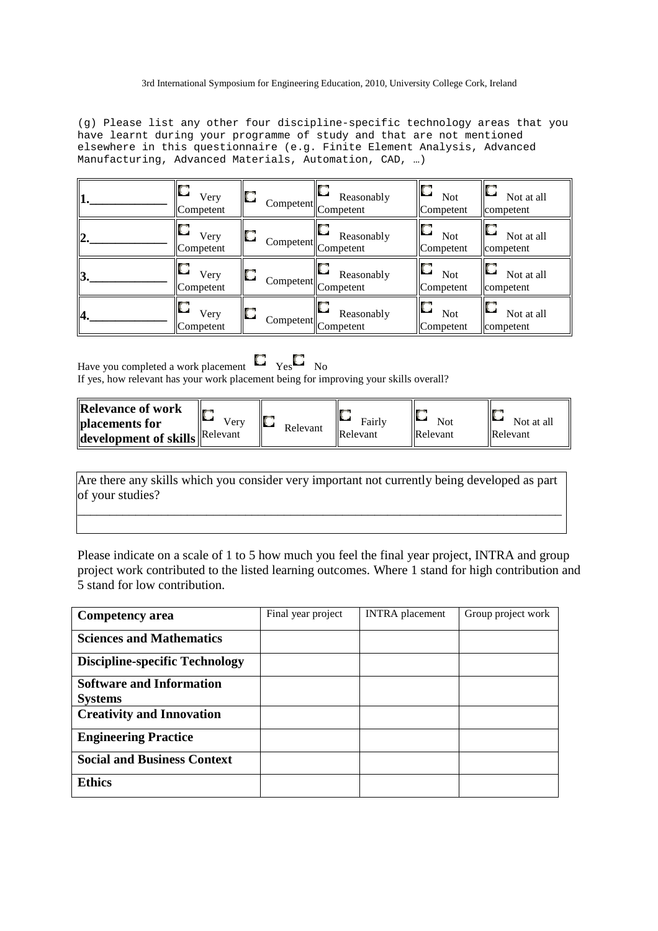(g) Please list any other four discipline-specific technology areas that you have learnt during your programme of study and that are not mentioned elsewhere in this questionnaire (e.g. Finite Element Analysis, Advanced Manufacturing, Advanced Materials, Automation, CAD, …)

| 11.              | О<br>Very<br>Competent | D  | Reasonably<br>Competent Competent  | О<br><b>Not</b><br>Competent      | Not at all<br>competent |
|------------------|------------------------|----|------------------------------------|-----------------------------------|-------------------------|
| $\overline{2}$ . | ш<br>Very<br>Competent | IO | Reasonably<br>Competent Competent  | $\Box$<br><b>Not</b><br>Competent | Not at all<br>competent |
| 13.              | О<br>Very<br>Competent | D  | Reasonably<br>Competent Competent  | O<br><b>Not</b><br>Competent      | Not at all<br>competent |
| 14.              | D<br>Very<br>Competent | O  | Reasonably<br>Competent  Competent | O<br><b>Not</b><br>Competent      | Not at all<br>competent |

Have you completed a work placement  $\Box$  Yes  $\Box$  No If yes, how relevant has your work placement being for improving your skills overall?

| <b>Relevance of work</b><br>placements for<br><b>'development of skills Relevant</b> | Verv | Ю<br>Relevant | Fairly<br>Relevant | <b>Not</b><br>Relevant | Not at all<br><b>Relevant</b> |
|--------------------------------------------------------------------------------------|------|---------------|--------------------|------------------------|-------------------------------|
|                                                                                      |      |               |                    |                        |                               |

Are there any skills which you consider very important not currently being developed as part of your studies?

\_\_\_\_\_\_\_\_\_\_\_\_\_\_\_\_\_\_\_\_\_\_\_\_\_\_\_\_\_\_\_\_\_\_\_\_\_\_\_\_\_\_\_\_\_\_\_\_\_\_\_\_\_\_\_\_\_\_\_\_\_\_\_\_\_\_\_\_\_\_\_\_\_\_\_

Please indicate on a scale of 1 to 5 how much you feel the final year project, INTRA and group project work contributed to the listed learning outcomes. Where 1 stand for high contribution and 5 stand for low contribution.

| <b>Competency area</b>                | Final year project | <b>INTRA</b> placement | Group project work |
|---------------------------------------|--------------------|------------------------|--------------------|
| <b>Sciences and Mathematics</b>       |                    |                        |                    |
| <b>Discipline-specific Technology</b> |                    |                        |                    |
| <b>Software and Information</b>       |                    |                        |                    |
| <b>Systems</b>                        |                    |                        |                    |
| <b>Creativity and Innovation</b>      |                    |                        |                    |
| <b>Engineering Practice</b>           |                    |                        |                    |
| <b>Social and Business Context</b>    |                    |                        |                    |
| <b>Ethics</b>                         |                    |                        |                    |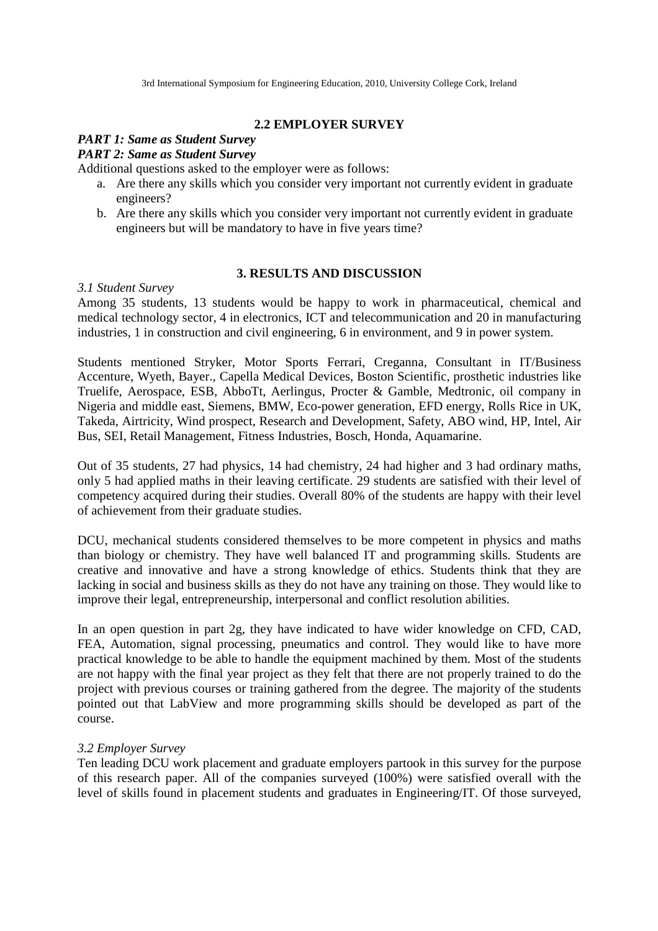## **2.2 EMPLOYER SURVEY**

## *PART 1: Same as Student Survey*

## *PART 2: Same as Student Survey*

Additional questions asked to the employer were as follows:

- a. Are there any skills which you consider very important not currently evident in graduate engineers?
- b. Are there any skills which you consider very important not currently evident in graduate engineers but will be mandatory to have in five years time?

#### **3. RESULTS AND DISCUSSION**

#### *3.1 Student Survey*

Among 35 students, 13 students would be happy to work in pharmaceutical, chemical and medical technology sector, 4 in electronics, ICT and telecommunication and 20 in manufacturing industries, 1 in construction and civil engineering, 6 in environment, and 9 in power system.

Students mentioned Stryker, Motor Sports Ferrari, Creganna, Consultant in IT/Business Accenture, Wyeth, Bayer., Capella Medical Devices, Boston Scientific, prosthetic industries like Truelife, Aerospace, ESB, AbboTt, Aerlingus, Procter & Gamble, Medtronic, oil company in Nigeria and middle east, Siemens, BMW, Eco-power generation, EFD energy, Rolls Rice in UK, Takeda, Airtricity, Wind prospect, Research and Development, Safety, ABO wind, HP, Intel, Air Bus, SEI, Retail Management, Fitness Industries, Bosch, Honda, Aquamarine.

Out of 35 students, 27 had physics, 14 had chemistry, 24 had higher and 3 had ordinary maths, only 5 had applied maths in their leaving certificate. 29 students are satisfied with their level of competency acquired during their studies. Overall 80% of the students are happy with their level of achievement from their graduate studies.

DCU, mechanical students considered themselves to be more competent in physics and maths than biology or chemistry. They have well balanced IT and programming skills. Students are creative and innovative and have a strong knowledge of ethics. Students think that they are lacking in social and business skills as they do not have any training on those. They would like to improve their legal, entrepreneurship, interpersonal and conflict resolution abilities.

In an open question in part 2g, they have indicated to have wider knowledge on CFD, CAD, FEA, Automation, signal processing, pneumatics and control. They would like to have more practical knowledge to be able to handle the equipment machined by them. Most of the students are not happy with the final year project as they felt that there are not properly trained to do the project with previous courses or training gathered from the degree. The majority of the students pointed out that LabView and more programming skills should be developed as part of the course.

#### *3.2 Employer Survey*

Ten leading DCU work placement and graduate employers partook in this survey for the purpose of this research paper. All of the companies surveyed (100%) were satisfied overall with the level of skills found in placement students and graduates in Engineering/IT. Of those surveyed,